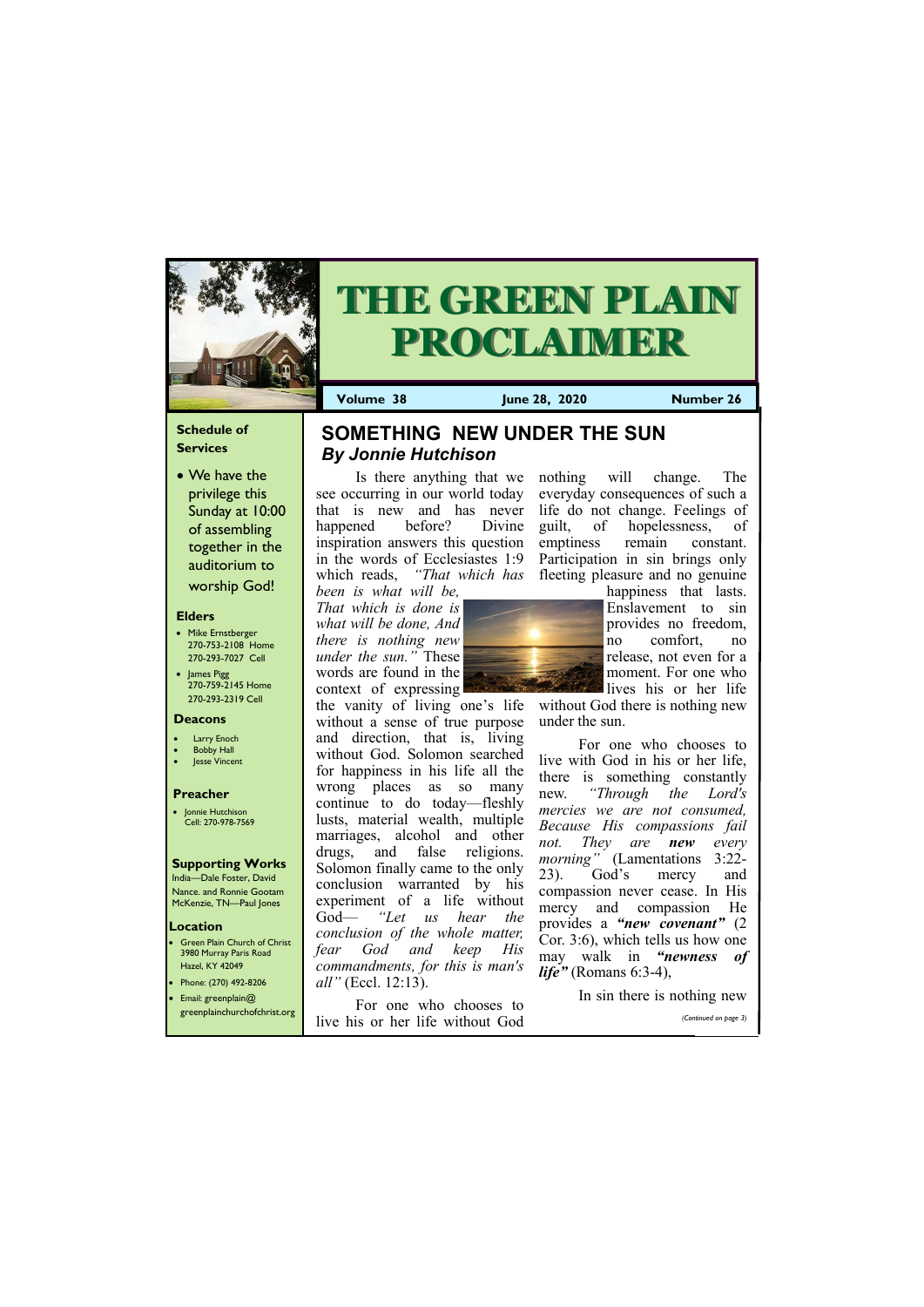## **Schedule of Services**

• We have the privilege this Sunday at 10:00 of assembling together in the auditorium to worship God!

### **Elders**

**Green Plain Church of Christ** 3980 Murray Paris Road Hazel, KY 42049 • Phone: (270) 492-8206

- Mike Ernstberger 270-753-2108 Home 270-293-7027 Cell
- James Pigg 270-759-2145 Home 270-293-2319 Cell

#### **Location**

• Jonnie Hutchison Cell: 270-978-7569



# **THE GREEN PLAIN PROCLAIMER**

**Volume 38 June 28, 2020 Number 26**

#### **Deacons**

- **Larry Enoch**
- **Bobby Hall**
- **Jesse Vincent**

### **Preacher**

#### **Supporting Works**

India—Dale Foster, David Nance. and Ronnie Gootam McKenzie, TN—Paul Jones

Is there anything that we nothing will change. The see occurring in our world today that is new and has never life do not change. Feelings of happened before? Divine inspiration answers this question in the words of Ecclesiastes 1:9 which reads, *"That which has been is what will be,* 

*That which is done is what will be done, And there is nothing new under the sun."* These words are found in the context of expressing



lives his or her life without God there is nothing new under the sun.

the vanity of living one's life without a sense of true purpose and direction, that is, living without God. Solomon searched for happiness in his life all the wrong places as so many continue to do today—fleshly lusts, material wealth, multiple marriages, alcohol and other drugs, and false religions. Solomon finally came to the only conclusion warranted by his experiment of a life without God— *"Let us hear the conclusion of the whole matter, fear God and keep His commandments, for this is man's all"* (Eccl. 12:13).

• Email: greenplain@ greenplainchurchofchrist.org For one who chooses to live his or her life without God In sin there is nothing new *(Continued on page 3)*

everyday consequences of such a

guilt, of hopelessness, of emptiness remain constant.

Participation in sin brings only fleeting pleasure and no genuine happiness that lasts. Enslavement to sin provides no freedom, no comfort, no release, not even for a moment. For one who

For one who chooses to live with God in his or her life, there is something constantly new. *"Through the Lord's mercies we are not consumed, Because His compassions fail not. They are new every morning"* (Lamentations 3:22- 23). God's mercy and compassion never cease. In His mercy and compassion He provides a *"new covenant"* (2 Cor. 3:6), which tells us how one may walk in *"newness of life"* (Romans 6:3-4),

# **SOMETHING NEW UNDER THE SUN**  *By Jonnie Hutchison*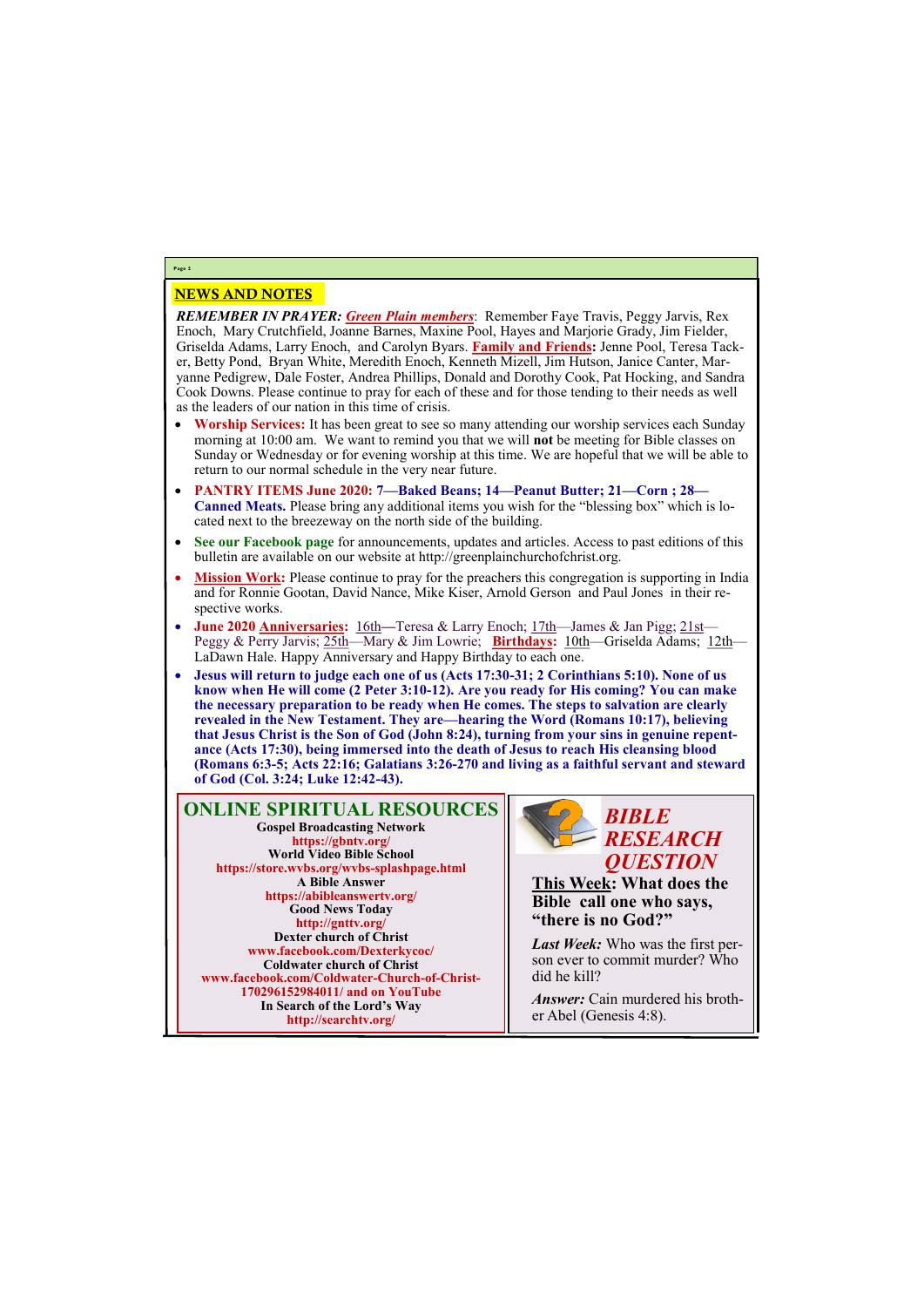# NEWS AND NOTES

*REMEMBER IN PRAYER: Green Plain members*: Remember Faye Travis, Peggy Jarvis, Rex Enoch, Mary Crutchfield, Joanne Barnes, Maxine Pool, Hayes and Marjorie Grady, Jim Fielder, Griselda Adams, Larry Enoch, and Carolyn Byars. **Family and Friends:** Jenne Pool, Teresa Tacker, Betty Pond, Bryan White, Meredith Enoch, Kenneth Mizell, Jim Hutson, Janice Canter, Maryanne Pedigrew, Dale Foster, Andrea Phillips, Donald and Dorothy Cook, Pat Hocking, and Sandra Cook Downs. Please continue to pray for each of these and for those tending to their needs as well as the leaders of our nation in this time of crisis.

- **Worship Services:** It has been great to see so many attending our worship services each Sunday morning at 10:00 am. We want to remind you that we will **not** be meeting for Bible classes on Sunday or Wednesday or for evening worship at this time. We are hopeful that we will be able to return to our normal schedule in the very near future.
- **PANTRY ITEMS June 2020: 7—Baked Beans; 14—Peanut Butter; 21—Corn ; 28— Canned Meats.** Please bring any additional items you wish for the "blessing box" which is located next to the breezeway on the north side of the building.
- **See our Facebook page** for announcements, updates and articles. Access to past editions of this bulletin are available on our website at http://greenplainchurchofchrist.org.
- **Mission Work:** Please continue to pray for the preachers this congregation is supporting in India and for Ronnie Gootan, David Nance, Mike Kiser, Arnold Gerson and Paul Jones in their respective works.
- **June 2020 Anniversaries:** 16th—Teresa & Larry Enoch; 17th—James & Jan Pigg; 21st— Peggy & Perry Jarvis; 25th—Mary & Jim Lowrie; **Birthdays:** 10th—Griselda Adams; 12th— LaDawn Hale. Happy Anniversary and Happy Birthday to each one.
- **Jesus will return to judge each one of us (Acts 17:30-31; 2 Corinthians 5:10). None of us know when He will come (2 Peter 3:10-12). Are you ready for His coming? You can make the necessary preparation to be ready when He comes. The steps to salvation are clearly revealed in the New Testament. They are—hearing the Word (Romans 10:17), believing that Jesus Christ is the Son of God (John 8:24), turning from your sins in genuine repentance (Acts 17:30), being immersed into the death of Jesus to reach His cleansing blood (Romans 6:3-5; Acts 22:16; Galatians 3:26-270 and living as a faithful servant and steward of God (Col. 3:24; Luke 12:42-43).**

**Page 2**

**ONLINE SPIRITUAL RESOURCES Gospel Broadcasting Network https://gbntv.org/ World Video Bible School https://store.wvbs.org/wvbs-splashpage.html A Bible Answer https://abibleanswertv.org/ Good News Today http://gnttv.org/ Dexter church of Christ www.facebook.com/Dexterkycoc/ Coldwater church of Christ www.facebook.com/Coldwater-Church-of-Christ-**

> **170296152984011/ and on YouTube In Search of the Lord's Way http://searchtv.org/**



**This Week: What does the Bible call one who says, "there is no God?"** 

*Last Week:* Who was the first person ever to commit murder? Who did he kill?

*Answer:* Cain murdered his brother Abel (Genesis 4:8).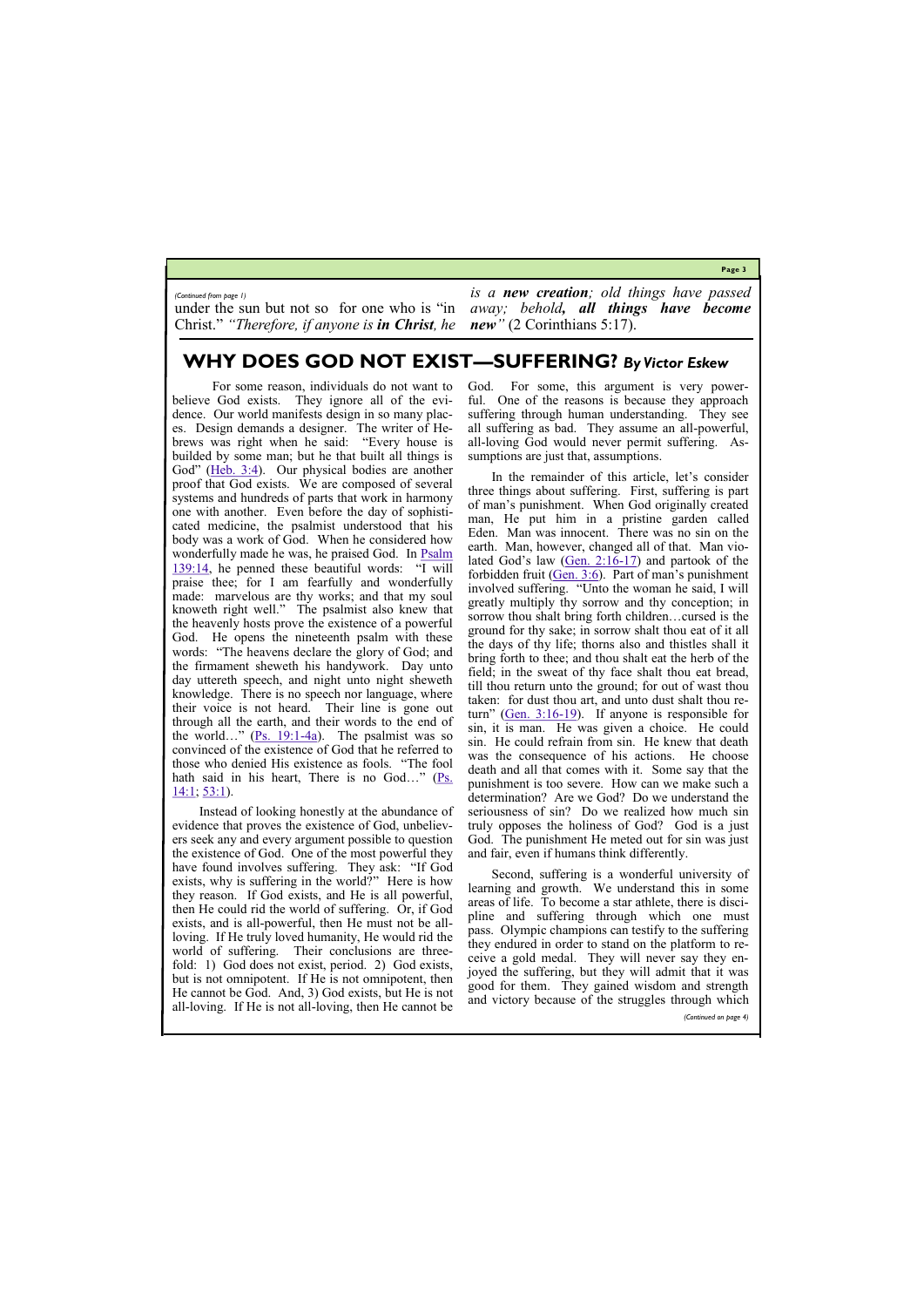**Page 3**

# **WHY DOES GOD NOT EXIST—SUFFERING?** *By Victor Eskew*

under the sun but not so for one who is "in Christ." *"Therefore, if anyone is in Christ, he* 

 For some reason, individuals do not want to believe God exists. They ignore all of the evidence. Our world manifests design in so many places. Design demands a designer. The writer of Hebrews was right when he said: "Every house is builded by some man; but he that built all things is God" ([Heb. 3:4\)](https://biblia.com/bible/kjv1900/Heb.%203.4). Our physical bodies are another proof that God exists. We are composed of several systems and hundreds of parts that work in harmony one with another. Even before the day of sophisticated medicine, the psalmist understood that his body was a work of God. When he considered how wonderfully made he was, he praised God. In **Psalm** [139:14,](https://biblia.com/bible/kjv1900/Ps%20139.14) he penned these beautiful words: "I will praise thee; for I am fearfully and wonderfully made: marvelous are thy works; and that my soul knoweth right well." The psalmist also knew that the heavenly hosts prove the existence of a powerful God. He opens the nineteenth psalm with these words: "The heavens declare the glory of God; and the firmament sheweth his handywork. Day unto day uttereth speech, and night unto night sheweth knowledge. There is no speech nor language, where their voice is not heard. Their line is gone out through all the earth, and their words to the end of the world…"  $(Ps. 19:1-4a)$  $(Ps. 19:1-4a)$  $(Ps. 19:1-4a)$ . The psalmist was so convinced of the existence of God that he referred to those who denied His existence as fools. "The fool hath said in his heart, There is no God..." ( $\frac{Ps}{s}$ .  $14:1; 53:1$  $14:1; 53:1$ ).

*is a new creation; old things have passed away; behold, all things have become new"* (2 Corinthians 5:17).

*(Continued from page 1)*

God. For some, this argument is very powerful. One of the reasons is because they approach suffering through human understanding. They see all suffering as bad. They assume an all-powerful, all-loving God would never permit suffering. Assumptions are just that, assumptions.

Instead of looking honestly at the abundance of evidence that proves the existence of God, unbelievers seek any and every argument possible to question the existence of God. One of the most powerful they have found involves suffering. They ask: "If God exists, why is suffering in the world?" Here is how they reason. If God exists, and He is all powerful, then He could rid the world of suffering. Or, if God exists, and is all-powerful, then He must not be allloving. If He truly loved humanity, He would rid the world of suffering. Their conclusions are threefold: 1) God does not exist, period. 2) God exists, but is not omnipotent. If He is not omnipotent, then

He cannot be God. And, 3) God exists, but He is not all-loving. If He is not all-loving, then He cannot be

In the remainder of this article, let's consider three things about suffering. First, suffering is part of man's punishment. When God originally created man, He put him in a pristine garden called Eden. Man was innocent. There was no sin on the earth. Man, however, changed all of that. Man violated God's law  $(Gen. 2:16-17)$  $(Gen. 2:16-17)$  $(Gen. 2:16-17)$  and partook of the forbidden fruit  $(Gen. 3:6)$ . Part of man's punishment involved suffering. "Unto the woman he said, I will greatly multiply thy sorrow and thy conception; in sorrow thou shalt bring forth children…cursed is the ground for thy sake; in sorrow shalt thou eat of it all the days of thy life; thorns also and thistles shall it bring forth to thee; and thou shalt eat the herb of the field; in the sweat of thy face shalt thou eat bread, till thou return unto the ground; for out of wast thou taken: for dust thou art, and unto dust shalt thou return" ([Gen. 3:16](https://biblia.com/bible/kjv1900/Gen.%203.16-19)-19). If anyone is responsible for sin, it is man. He was given a choice. He could sin. He could refrain from sin. He knew that death was the consequence of his actions. He choose death and all that comes with it. Some say that the punishment is too severe. How can we make such a determination? Are we God? Do we understand the seriousness of sin? Do we realized how much sin truly opposes the holiness of God? God is a just God. The punishment He meted out for sin was just and fair, even if humans think differently.

Second, suffering is a wonderful university of learning and growth. We understand this in some areas of life. To become a star athlete, there is discipline and suffering through which one must pass. Olympic champions can testify to the suffering they endured in order to stand on the platform to receive a gold medal. They will never say they enjoyed the suffering, but they will admit that it was good for them. They gained wisdom and strength

and victory because of the struggles through which

*(Continued on page 4)*